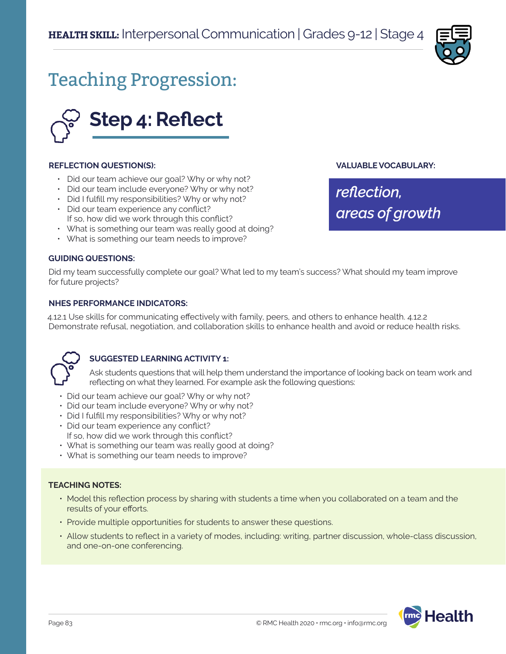

# Teaching Progression:



### **REFLECTION QUESTION(S):**

- Did our team achieve our goal? Why or why not?
- Did our team include everyone? Why or why not?
- Did I fulfill my responsibilities? Why or why not?
- Did our team experience any conflict? If so, how did we work through this conflict?
- What is something our team was really good at doing?
- What is something our team needs to improve?

## **GUIDING QUESTIONS:**

Did my team successfully complete our goal? What led to my team's success? What should my team improve for future projects?

### **NHES PERFORMANCE INDICATORS:**

4.12.1 Use skills for communicating effectively with family, peers, and others to enhance health. 4.12.2 Demonstrate refusal, negotiation, and collaboration skills to enhance health and avoid or reduce health risks.



# **SUGGESTED LEARNING ACTIVITY 1:**

Ask students questions that will help them understand the importance of looking back on team work and reflecting on what they learned. For example ask the following questions:

- Did our team achieve our goal? Why or why not?
- Did our team include everyone? Why or why not?
- Did I fulfill my responsibilities? Why or why not?
- Did our team experience any conflict? If so, how did we work through this conflict?
- What is something our team was really good at doing?
- What is something our team needs to improve?

### **TEACHING NOTES:**

- Model this reflection process by sharing with students a time when you collaborated on a team and the results of your efforts.
- Provide multiple opportunities for students to answer these questions.
- Allow students to reflect in a variety of modes, including: writing, partner discussion, whole-class discussion, and one-on-one conferencing.



**VALUABLE VOCABULARY:**

*reflection, areas of growth*